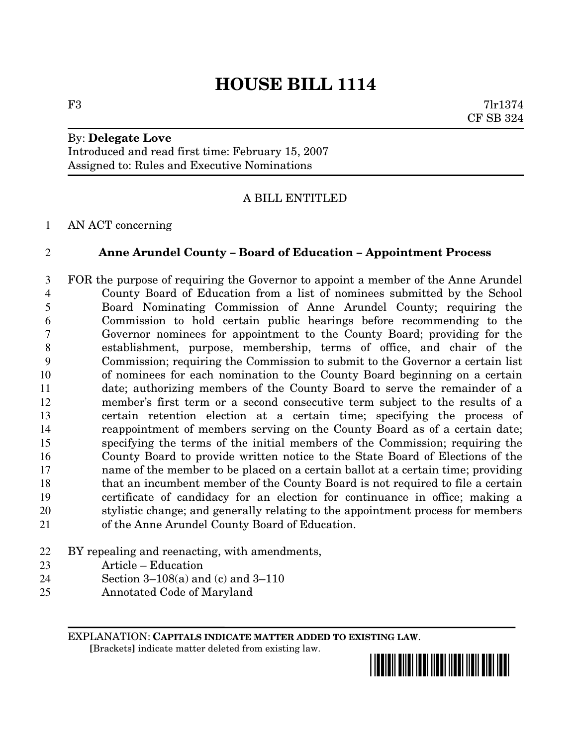## **HOUSE BILL 1114**

By: **Delegate Love** Introduced and read first time: February 15, 2007 Assigned to: Rules and Executive Nominations

## A BILL ENTITLED

AN ACT concerning

## **Anne Arundel County – Board of Education – Appointment Process**

 FOR the purpose of requiring the Governor to appoint a member of the Anne Arundel County Board of Education from a list of nominees submitted by the School Board Nominating Commission of Anne Arundel County; requiring the Commission to hold certain public hearings before recommending to the Governor nominees for appointment to the County Board; providing for the establishment, purpose, membership, terms of office, and chair of the Commission; requiring the Commission to submit to the Governor a certain list of nominees for each nomination to the County Board beginning on a certain date; authorizing members of the County Board to serve the remainder of a member's first term or a second consecutive term subject to the results of a certain retention election at a certain time; specifying the process of reappointment of members serving on the County Board as of a certain date; specifying the terms of the initial members of the Commission; requiring the County Board to provide written notice to the State Board of Elections of the name of the member to be placed on a certain ballot at a certain time; providing that an incumbent member of the County Board is not required to file a certain certificate of candidacy for an election for continuance in office; making a stylistic change; and generally relating to the appointment process for members of the Anne Arundel County Board of Education.

- BY repealing and reenacting, with amendments,
- Article Education
- Section 3–108(a) and (c) and 3–110
- Annotated Code of Maryland

EXPLANATION: **CAPITALS INDICATE MATTER ADDED TO EXISTING LAW**.

**[**Brackets**]** indicate matter deleted from existing law.



F3 7lr1374 CF SB 324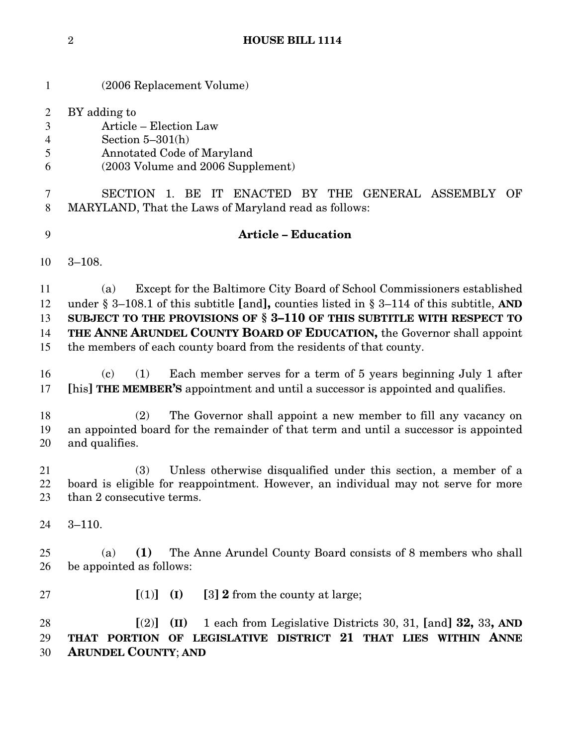| $\mathbf{1}$                       | (2006 Replacement Volume)                                                                                                                                                                                                                                                                                                                                                                            |  |  |
|------------------------------------|------------------------------------------------------------------------------------------------------------------------------------------------------------------------------------------------------------------------------------------------------------------------------------------------------------------------------------------------------------------------------------------------------|--|--|
| $\overline{c}$<br>3<br>4<br>5<br>6 | BY adding to<br>Article - Election Law<br>Section $5-301(h)$<br>Annotated Code of Maryland<br>(2003 Volume and 2006 Supplement)                                                                                                                                                                                                                                                                      |  |  |
| 7<br>8                             | SECTION 1. BE IT ENACTED BY THE GENERAL ASSEMBLY OF<br>MARYLAND, That the Laws of Maryland read as follows:                                                                                                                                                                                                                                                                                          |  |  |
| 9                                  | <b>Article - Education</b>                                                                                                                                                                                                                                                                                                                                                                           |  |  |
| 10                                 | $3 - 108.$                                                                                                                                                                                                                                                                                                                                                                                           |  |  |
| 11<br>12<br>13<br>14<br>15         | Except for the Baltimore City Board of School Commissioners established<br>(a)<br>under § 3–108.1 of this subtitle [and], counties listed in § 3–114 of this subtitle, AND<br>SUBJECT TO THE PROVISIONS OF § 3-110 OF THIS SUBTITLE WITH RESPECT TO<br>THE ANNE ARUNDEL COUNTY BOARD OF EDUCATION, the Governor shall appoint<br>the members of each county board from the residents of that county. |  |  |
| 16<br>17                           | Each member serves for a term of 5 years beginning July 1 after<br>(c)<br>(1)<br>[his] THE MEMBER'S appointment and until a successor is appointed and qualifies.                                                                                                                                                                                                                                    |  |  |
| 18<br>19<br>20                     | The Governor shall appoint a new member to fill any vacancy on<br>(2)<br>an appointed board for the remainder of that term and until a successor is appointed<br>and qualifies.                                                                                                                                                                                                                      |  |  |
| 21<br>22<br>23                     | Unless otherwise disqualified under this section, a member of a<br>(3)<br>board is eligible for reappointment. However, an individual may not serve for more<br>than 2 consecutive terms.                                                                                                                                                                                                            |  |  |
| 24                                 | $3 - 110.$                                                                                                                                                                                                                                                                                                                                                                                           |  |  |
| 25<br>26                           | The Anne Arundel County Board consists of 8 members who shall<br>(1)<br>(a)<br>be appointed as follows:                                                                                                                                                                                                                                                                                              |  |  |
| 27                                 | [3] 2 from the county at large;<br>$[(1)]$ $(I)$                                                                                                                                                                                                                                                                                                                                                     |  |  |
| 28<br>29<br>30                     | 1 each from Legislative Districts 30, 31, [and] 32, 33, AND<br>[(2)]<br>(II)<br>OF LEGISLATIVE DISTRICT 21 THAT LIES WITHIN ANNE<br>THAT PORTION<br><b>ARUNDEL COUNTY; AND</b>                                                                                                                                                                                                                       |  |  |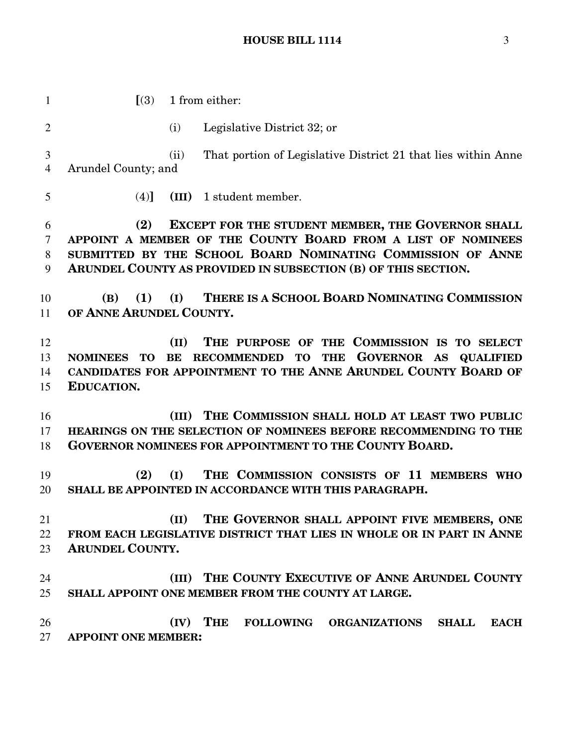**[**(3) 1 from either: (i) Legislative District 32; or (ii) That portion of Legislative District 21 that lies within Anne Arundel County; and (4)**] (III)** 1 student member. **(2) EXCEPT FOR THE STUDENT MEMBER, THE GOVERNOR SHALL APPOINT A MEMBER OF THE COUNTY BOARD FROM A LIST OF NOMINEES SUBMITTED BY THE SCHOOL BOARD NOMINATING COMMISSION OF ANNE ARUNDEL COUNTY AS PROVIDED IN SUBSECTION (B) OF THIS SECTION. (B) (1) (I) THERE IS A SCHOOL BOARD NOMINATING COMMISSION OF ANNE ARUNDEL COUNTY. (II) THE PURPOSE OF THE COMMISSION IS TO SELECT NOMINEES TO BE RECOMMENDED TO THE GOVERNOR AS QUALIFIED CANDIDATES FOR APPOINTMENT TO THE ANNE ARUNDEL COUNTY BOARD OF EDUCATION. (III) THE COMMISSION SHALL HOLD AT LEAST TWO PUBLIC HEARINGS ON THE SELECTION OF NOMINEES BEFORE RECOMMENDING TO THE GOVERNOR NOMINEES FOR APPOINTMENT TO THE COUNTY BOARD. (2) (I) THE COMMISSION CONSISTS OF 11 MEMBERS WHO SHALL BE APPOINTED IN ACCORDANCE WITH THIS PARAGRAPH. (II) THE GOVERNOR SHALL APPOINT FIVE MEMBERS, ONE FROM EACH LEGISLATIVE DISTRICT THAT LIES IN WHOLE OR IN PART IN ANNE ARUNDEL COUNTY. (III) THE COUNTY EXECUTIVE OF ANNE ARUNDEL COUNTY SHALL APPOINT ONE MEMBER FROM THE COUNTY AT LARGE. (IV) THE FOLLOWING ORGANIZATIONS SHALL EACH APPOINT ONE MEMBER:**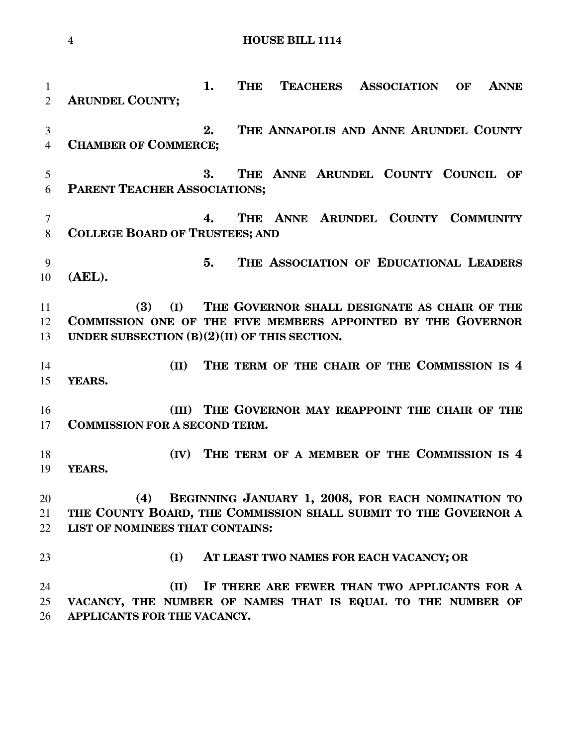```
4 HOUSE BILL 1114
```
 **1. THE TEACHERS ASSOCIATION OF ANNE ARUNDEL COUNTY; 2. THE ANNAPOLIS AND ANNE ARUNDEL COUNTY CHAMBER OF COMMERCE; 3. THE ANNE ARUNDEL COUNTY COUNCIL OF PARENT TEACHER ASSOCIATIONS; 4. THE ANNE ARUNDEL COUNTY COMMUNITY COLLEGE BOARD OF TRUSTEES; AND 5. THE ASSOCIATION OF EDUCATIONAL LEADERS (AEL). (3) (I) THE GOVERNOR SHALL DESIGNATE AS CHAIR OF THE COMMISSION ONE OF THE FIVE MEMBERS APPOINTED BY THE GOVERNOR UNDER SUBSECTION (B)(2)(II) OF THIS SECTION. (II) THE TERM OF THE CHAIR OF THE COMMISSION IS 4 YEARS. (III) THE GOVERNOR MAY REAPPOINT THE CHAIR OF THE COMMISSION FOR A SECOND TERM. (IV) THE TERM OF A MEMBER OF THE COMMISSION IS 4 YEARS. (4) BEGINNING JANUARY 1, 2008, FOR EACH NOMINATION TO THE COUNTY BOARD, THE COMMISSION SHALL SUBMIT TO THE GOVERNOR A LIST OF NOMINEES THAT CONTAINS: (I) AT LEAST TWO NAMES FOR EACH VACANCY; OR (II) IF THERE ARE FEWER THAN TWO APPLICANTS FOR A VACANCY, THE NUMBER OF NAMES THAT IS EQUAL TO THE NUMBER OF APPLICANTS FOR THE VACANCY.**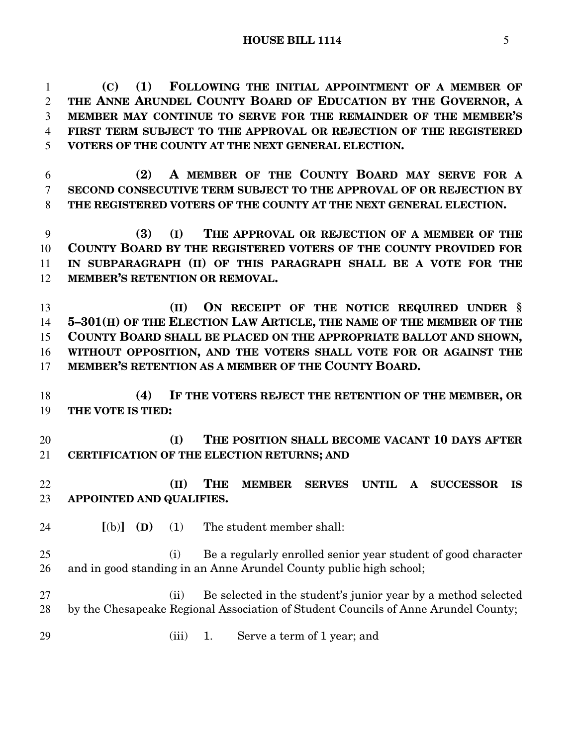**(C) (1) FOLLOWING THE INITIAL APPOINTMENT OF A MEMBER OF THE ANNE ARUNDEL COUNTY BOARD OF EDUCATION BY THE GOVERNOR, A MEMBER MAY CONTINUE TO SERVE FOR THE REMAINDER OF THE MEMBER'S FIRST TERM SUBJECT TO THE APPROVAL OR REJECTION OF THE REGISTERED VOTERS OF THE COUNTY AT THE NEXT GENERAL ELECTION.**

 **(2) A MEMBER OF THE COUNTY BOARD MAY SERVE FOR A SECOND CONSECUTIVE TERM SUBJECT TO THE APPROVAL OF OR REJECTION BY THE REGISTERED VOTERS OF THE COUNTY AT THE NEXT GENERAL ELECTION.**

 **(3) (I) THE APPROVAL OR REJECTION OF A MEMBER OF THE COUNTY BOARD BY THE REGISTERED VOTERS OF THE COUNTY PROVIDED FOR IN SUBPARAGRAPH (II) OF THIS PARAGRAPH SHALL BE A VOTE FOR THE MEMBER'S RETENTION OR REMOVAL.**

 **(II) ON RECEIPT OF THE NOTICE REQUIRED UNDER § 5–301(H) OF THE ELECTION LAW ARTICLE, THE NAME OF THE MEMBER OF THE COUNTY BOARD SHALL BE PLACED ON THE APPROPRIATE BALLOT AND SHOWN, WITHOUT OPPOSITION, AND THE VOTERS SHALL VOTE FOR OR AGAINST THE MEMBER'S RETENTION AS A MEMBER OF THE COUNTY BOARD.**

 **(4) IF THE VOTERS REJECT THE RETENTION OF THE MEMBER, OR THE VOTE IS TIED:**

 **(I) THE POSITION SHALL BECOME VACANT 10 DAYS AFTER CERTIFICATION OF THE ELECTION RETURNS; AND**

 **(II) THE MEMBER SERVES UNTIL A SUCCESSOR IS APPOINTED AND QUALIFIES.**

**[**(b)**] (D)** (1) The student member shall:

 (i) Be a regularly enrolled senior year student of good character and in good standing in an Anne Arundel County public high school;

 (ii) Be selected in the student's junior year by a method selected by the Chesapeake Regional Association of Student Councils of Anne Arundel County;

(iii) 1. Serve a term of 1 year; and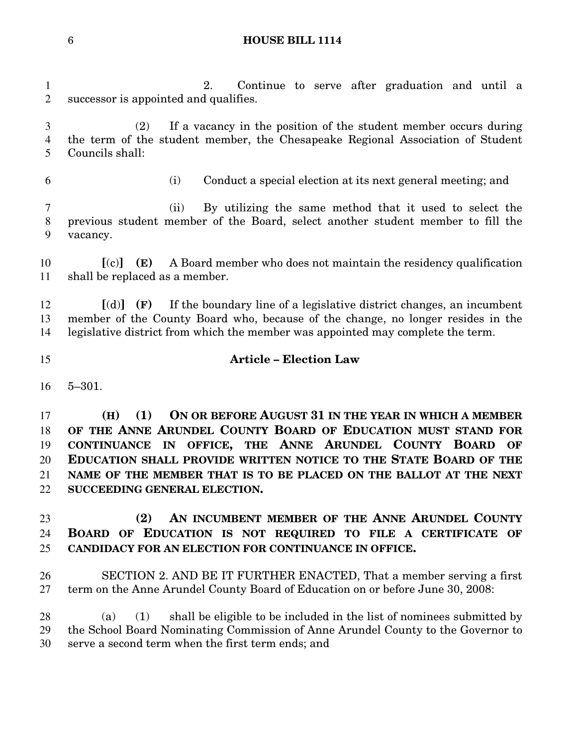|   | <b>HOUSE BILL 1114</b> |
|---|------------------------|
| b |                        |

 2. Continue to serve after graduation and until a successor is appointed and qualifies. (2) If a vacancy in the position of the student member occurs during the term of the student member, the Chesapeake Regional Association of Student Councils shall: (i) Conduct a special election at its next general meeting; and (ii) By utilizing the same method that it used to select the previous student member of the Board, select another student member to fill the vacancy. **[**(c)**] (E)** A Board member who does not maintain the residency qualification shall be replaced as a member. **[**(d)**] (F)** If the boundary line of a legislative district changes, an incumbent member of the County Board who, because of the change, no longer resides in the legislative district from which the member was appointed may complete the term. **Article – Election Law** 5–301. **(H) (1) ON OR BEFORE AUGUST 31 IN THE YEAR IN WHICH A MEMBER OF THE ANNE ARUNDEL COUNTY BOARD OF EDUCATION MUST STAND FOR CONTINUANCE IN OFFICE, THE ANNE ARUNDEL COUNTY BOARD OF EDUCATION SHALL PROVIDE WRITTEN NOTICE TO THE STATE BOARD OF THE NAME OF THE MEMBER THAT IS TO BE PLACED ON THE BALLOT AT THE NEXT SUCCEEDING GENERAL ELECTION. (2) AN INCUMBENT MEMBER OF THE ANNE ARUNDEL COUNTY BOARD OF EDUCATION IS NOT REQUIRED TO FILE A CERTIFICATE OF CANDIDACY FOR AN ELECTION FOR CONTINUANCE IN OFFICE.** SECTION 2. AND BE IT FURTHER ENACTED, That a member serving a first term on the Anne Arundel County Board of Education on or before June 30, 2008: (a) (1) shall be eligible to be included in the list of nominees submitted by the School Board Nominating Commission of Anne Arundel County to the Governor to serve a second term when the first term ends; and